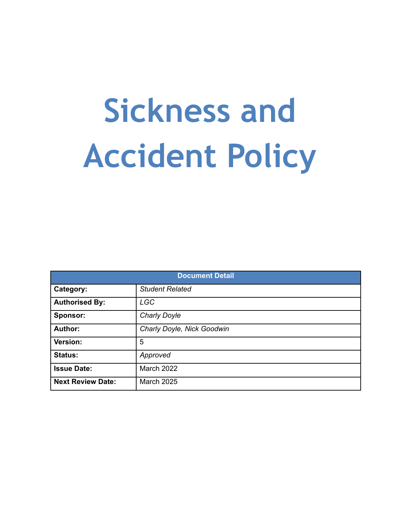# **Sickness and Accident Policy**

| <b>Document Detail</b>   |                            |  |
|--------------------------|----------------------------|--|
| Category:                | <b>Student Related</b>     |  |
| <b>Authorised By:</b>    | <b>LGC</b>                 |  |
| Sponsor:                 | <b>Charly Doyle</b>        |  |
| Author:                  | Charly Doyle, Nick Goodwin |  |
| Version:                 | 5                          |  |
| <b>Status:</b>           | Approved                   |  |
| <b>Issue Date:</b>       | March 2022                 |  |
| <b>Next Review Date:</b> | <b>March 2025</b>          |  |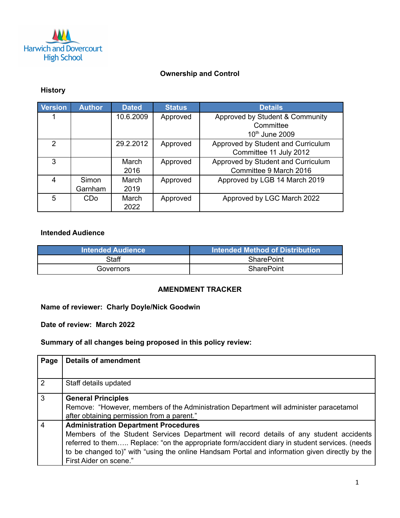

#### **Ownership and Control**

#### **History**

| Version       | <b>Author</b> | <b>Dated</b> | <b>Status</b> | <b>Details</b>                     |
|---------------|---------------|--------------|---------------|------------------------------------|
|               |               | 10.6.2009    | Approved      | Approved by Student & Community    |
|               |               |              |               | Committee                          |
|               |               |              |               | 10th June 2009                     |
| $\mathcal{P}$ |               | 29.2.2012    | Approved      | Approved by Student and Curriculum |
|               |               |              |               | Committee 11 July 2012             |
| 3             |               | March        | Approved      | Approved by Student and Curriculum |
|               |               | 2016         |               | Committee 9 March 2016             |
| 4             | Simon         | March        | Approved      | Approved by LGB 14 March 2019      |
|               | Garnham       | 2019         |               |                                    |
| 5             | CDo           | March        | Approved      | Approved by LGC March 2022         |
|               |               | 2022         |               |                                    |

#### **Intended Audience**

| <b>Intended Audience</b> | Intended Method of Distribution <b>I</b> |
|--------------------------|------------------------------------------|
| Staff                    | <b>SharePoint</b>                        |
| Governors                | <b>SharePoint</b>                        |

#### **AMENDMENT TRACKER**

**Name of reviewer: Charly Doyle/Nick Goodwin**

**Date of review: March 2022**

**Summary of all changes being proposed in this policy review:**

| Page           | <b>Details of amendment</b>                                                                                                                                                                                                                                                                                                                                         |
|----------------|---------------------------------------------------------------------------------------------------------------------------------------------------------------------------------------------------------------------------------------------------------------------------------------------------------------------------------------------------------------------|
| $\overline{2}$ | Staff details updated                                                                                                                                                                                                                                                                                                                                               |
| $\overline{3}$ | <b>General Principles</b><br>Remove: "However, members of the Administration Department will administer paracetamol<br>after obtaining permission from a parent."                                                                                                                                                                                                   |
| $\overline{4}$ | <b>Administration Department Procedures</b><br>Members of the Student Services Department will record details of any student accidents<br>referred to them Replace: "on the appropriate form/accident diary in student services. (needs<br>to be changed to)" with "using the online Handsam Portal and information given directly by the<br>First Aider on scene." |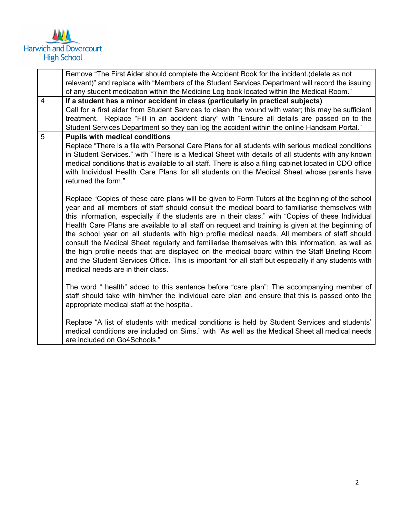

|                | Remove "The First Aider should complete the Accident Book for the incident. (delete as not                                                                                                  |  |
|----------------|---------------------------------------------------------------------------------------------------------------------------------------------------------------------------------------------|--|
|                | relevant)" and replace with "Members of the Student Services Department will record the issuing                                                                                             |  |
|                | of any student medication within the Medicine Log book located within the Medical Room."                                                                                                    |  |
| $\overline{4}$ | If a student has a minor accident in class (particularly in practical subjects)                                                                                                             |  |
|                | Call for a first aider from Student Services to clean the wound with water; this may be sufficient                                                                                          |  |
|                | treatment. Replace "Fill in an accident diary" with "Ensure all details are passed on to the                                                                                                |  |
|                | Student Services Department so they can log the accident within the online Handsam Portal."                                                                                                 |  |
| 5              | <b>Pupils with medical conditions</b>                                                                                                                                                       |  |
|                | Replace "There is a file with Personal Care Plans for all students with serious medical conditions                                                                                          |  |
|                | in Student Services." with "There is a Medical Sheet with details of all students with any known                                                                                            |  |
|                | medical conditions that is available to all staff. There is also a filing cabinet located in CDO office                                                                                     |  |
|                | with Individual Health Care Plans for all students on the Medical Sheet whose parents have                                                                                                  |  |
|                | returned the form."                                                                                                                                                                         |  |
|                |                                                                                                                                                                                             |  |
|                | Replace "Copies of these care plans will be given to Form Tutors at the beginning of the school                                                                                             |  |
|                | year and all members of staff should consult the medical board to familiarise themselves with                                                                                               |  |
|                | this information, especially if the students are in their class." with "Copies of these Individual                                                                                          |  |
|                | Health Care Plans are available to all staff on request and training is given at the beginning of                                                                                           |  |
|                | the school year on all students with high profile medical needs. All members of staff should                                                                                                |  |
|                | consult the Medical Sheet regularly and familiarise themselves with this information, as well as                                                                                            |  |
|                | the high profile needs that are displayed on the medical board within the Staff Briefing Room                                                                                               |  |
|                | and the Student Services Office. This is important for all staff but especially if any students with                                                                                        |  |
|                | medical needs are in their class."                                                                                                                                                          |  |
|                |                                                                                                                                                                                             |  |
|                | The word " health" added to this sentence before "care plan": The accompanying member of<br>staff should take with him/her the individual care plan and ensure that this is passed onto the |  |
|                | appropriate medical staff at the hospital.                                                                                                                                                  |  |
|                |                                                                                                                                                                                             |  |
|                | Replace "A list of students with medical conditions is held by Student Services and students"                                                                                               |  |
|                | medical conditions are included on Sims." with "As well as the Medical Sheet all medical needs                                                                                              |  |
|                | are included on Go4Schools."                                                                                                                                                                |  |
|                |                                                                                                                                                                                             |  |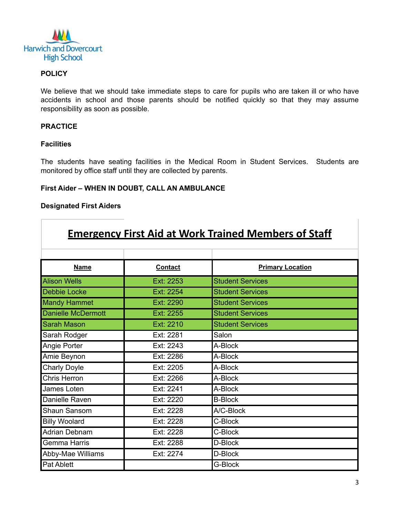

#### **POLICY**

We believe that we should take immediate steps to care for pupils who are taken ill or who have accidents in school and those parents should be notified quickly so that they may assume responsibility as soon as possible.

#### **PRACTICE**

#### **Facilities**

Г

The students have seating facilities in the Medical Room in Student Services. Students are monitored by office staff until they are collected by parents.

#### **First Aider – WHEN IN DOUBT, CALL AN AMBULANCE**

#### **Designated First Aiders**

| <b>Emergency First Aid at Work Trained Members of Staff</b> |                |                         |  |
|-------------------------------------------------------------|----------------|-------------------------|--|
| <b>Name</b>                                                 | <b>Contact</b> | <b>Primary Location</b> |  |
| <b>Alison Wells</b>                                         | Ext: 2253      | <b>Student Services</b> |  |
| Debbie Locke                                                | Ext: 2254      | <b>Student Services</b> |  |
| <b>Mandy Hammet</b>                                         | Ext: 2290      | <b>Student Services</b> |  |
| <b>Danielle McDermott</b>                                   | Ext: 2255      | <b>Student Services</b> |  |
| <b>Sarah Mason</b>                                          | Ext: 2210      | <b>Student Services</b> |  |
| Sarah Rodger                                                | Ext: 2281      | Salon                   |  |
| Angie Porter                                                | Ext: 2243      | A-Block                 |  |
| Amie Beynon                                                 | Ext: 2286      | A-Block                 |  |
| <b>Charly Doyle</b>                                         | Ext: 2205      | A-Block                 |  |
| Chris Herron                                                | Ext: 2266      | A-Block                 |  |
| James Loten                                                 | Ext: 2241      | A-Block                 |  |
| Danielle Raven                                              | Ext: 2220      | <b>B-Block</b>          |  |
| Shaun Sansom                                                | Ext: 2228      | A/C-Block               |  |
| <b>Billy Woolard</b>                                        | Ext: 2228      | C-Block                 |  |
| <b>Adrian Debnam</b>                                        | Ext: 2228      | C-Block                 |  |
| Gemma Harris                                                | Ext: 2288      | D-Block                 |  |
| Abby-Mae Williams                                           | Ext: 2274      | D-Block                 |  |
| Pat Ablett                                                  |                | G-Block                 |  |

T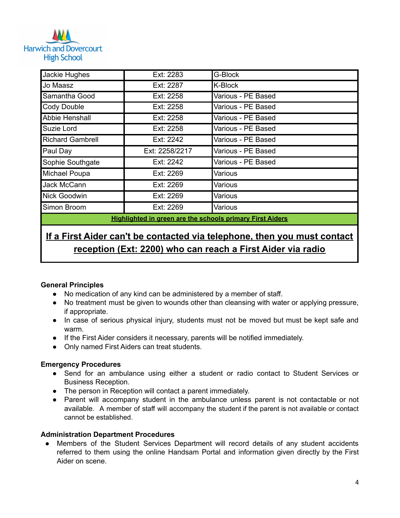## **Harwich and Dovercourt High School**

| Jackie Hughes                                                    | Ext: 2283      | G-Block            |  |
|------------------------------------------------------------------|----------------|--------------------|--|
| Jo Maasz                                                         | Ext: 2287      | K-Block            |  |
| Samantha Good                                                    | Ext: 2258      | Various - PE Based |  |
| <b>Cody Double</b>                                               | Ext: 2258      | Various - PE Based |  |
| Abbie Henshall                                                   | Ext: 2258      | Various - PE Based |  |
| Suzie Lord                                                       | Ext: 2258      | Various - PE Based |  |
| <b>Richard Gambrell</b>                                          | Ext: 2242      | Various - PE Based |  |
| Paul Day                                                         | Ext: 2258/2217 | Various - PE Based |  |
| Sophie Southgate                                                 | Ext: 2242      | Various - PE Based |  |
| Michael Poupa                                                    | Ext: 2269      | Various            |  |
| Jack McCann                                                      | Ext: 2269      | Various            |  |
| Nick Goodwin                                                     | Ext: 2269      | Various            |  |
| Simon Broom                                                      | Ext: 2269      | Various            |  |
| <b>Highlighted in green are the schools primary First Aiders</b> |                |                    |  |

### **If a First Aider can't be contacted via telephone, then you must contact reception (Ext: 2200) who can reach a First Aider via radio**

#### **General Principles**

- No medication of any kind can be administered by a member of staff.
- No treatment must be given to wounds other than cleansing with water or applying pressure, if appropriate.
- In case of serious physical injury, students must not be moved but must be kept safe and warm.
- If the First Aider considers it necessary, parents will be notified immediately.
- Only named First Aiders can treat students.

#### **Emergency Procedures**

- Send for an ambulance using either a student or radio contact to Student Services or Business Reception.
- The person in Reception will contact a parent immediately.
- Parent will accompany student in the ambulance unless parent is not contactable or not available. A member of staff will accompany the student if the parent is not available or contact cannot be established.

#### **Administration Department Procedures**

Members of the Student Services Department will record details of any student accidents referred to them using the online Handsam Portal and information given directly by the First Aider on scene.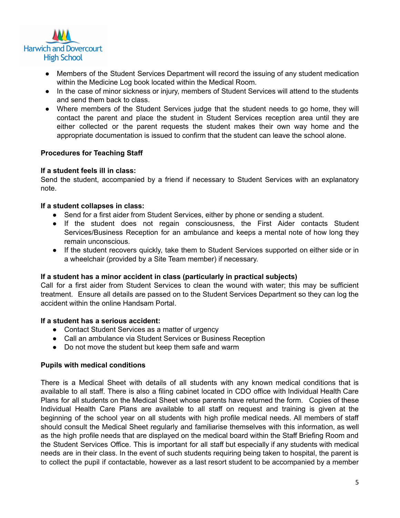

- Members of the Student Services Department will record the issuing of any student medication within the Medicine Log book located within the Medical Room.
- In the case of minor sickness or injury, members of Student Services will attend to the students and send them back to class.
- Where members of the Student Services judge that the student needs to go home, they will contact the parent and place the student in Student Services reception area until they are either collected or the parent requests the student makes their own way home and the appropriate documentation is issued to confirm that the student can leave the school alone.

#### **Procedures for Teaching Staff**

#### **If a student feels ill in class:**

Send the student, accompanied by a friend if necessary to Student Services with an explanatory note.

#### **If a student collapses in class:**

- Send for a first aider from Student Services, either by phone or sending a student.
- If the student does not regain consciousness, the First Aider contacts Student Services/Business Reception for an ambulance and keeps a mental note of how long they remain unconscious.
- If the student recovers quickly, take them to Student Services supported on either side or in a wheelchair (provided by a Site Team member) if necessary.

#### **If a student has a minor accident in class (particularly in practical subjects)**

Call for a first aider from Student Services to clean the wound with water; this may be sufficient treatment. Ensure all details are passed on to the Student Services Department so they can log the accident within the online Handsam Portal.

#### **If a student has a serious accident:**

- Contact Student Services as a matter of urgency
- Call an ambulance via Student Services or Business Reception
- Do not move the student but keep them safe and warm

#### **Pupils with medical conditions**

There is a Medical Sheet with details of all students with any known medical conditions that is available to all staff. There is also a filing cabinet located in CDO office with Individual Health Care Plans for all students on the Medical Sheet whose parents have returned the form. Copies of these Individual Health Care Plans are available to all staff on request and training is given at the beginning of the school year on all students with high profile medical needs. All members of staff should consult the Medical Sheet regularly and familiarise themselves with this information, as well as the high profile needs that are displayed on the medical board within the Staff Briefing Room and the Student Services Office. This is important for all staff but especially if any students with medical needs are in their class. In the event of such students requiring being taken to hospital, the parent is to collect the pupil if contactable, however as a last resort student to be accompanied by a member